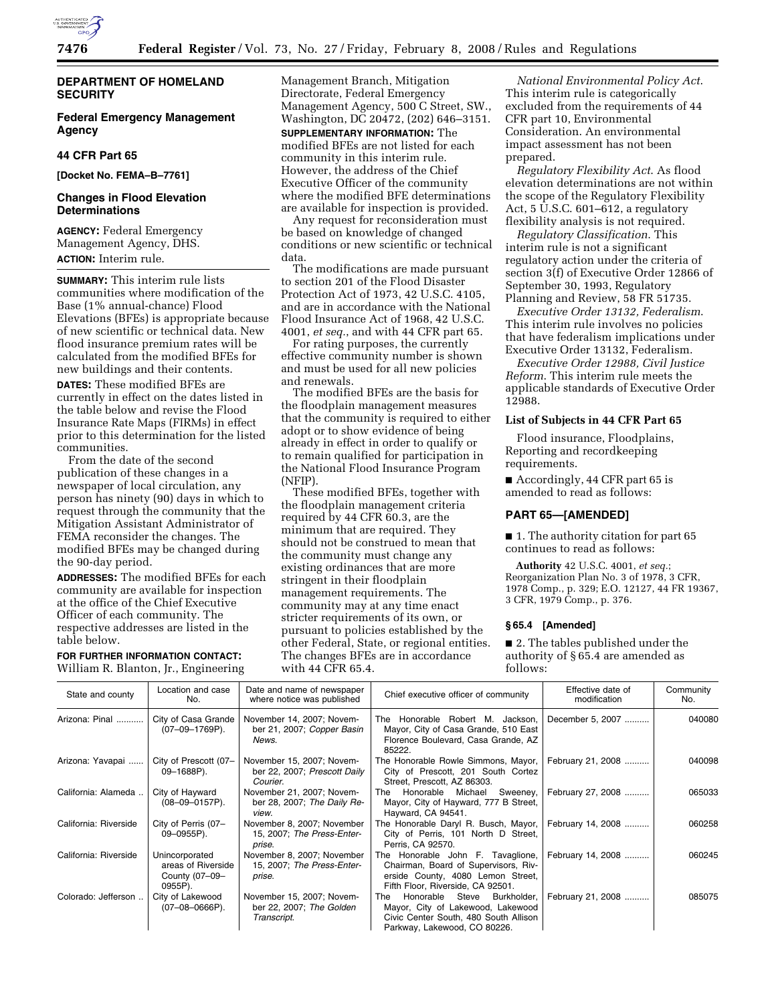

**Federal Emergency Management Agency** 

## **44 CFR Part 65**

**[Docket No. FEMA–B–7761]** 

## **Changes in Flood Elevation Determinations**

**AGENCY:** Federal Emergency Management Agency, DHS. **ACTION:** Interim rule.

**SUMMARY:** This interim rule lists communities where modification of the Base (1% annual-chance) Flood Elevations (BFEs) is appropriate because of new scientific or technical data. New flood insurance premium rates will be calculated from the modified BFEs for new buildings and their contents.

**DATES:** These modified BFEs are currently in effect on the dates listed in the table below and revise the Flood Insurance Rate Maps (FIRMs) in effect prior to this determination for the listed communities.

From the date of the second publication of these changes in a newspaper of local circulation, any person has ninety (90) days in which to request through the community that the Mitigation Assistant Administrator of FEMA reconsider the changes. The modified BFEs may be changed during the 90-day period.

**ADDRESSES:** The modified BFEs for each community are available for inspection at the office of the Chief Executive Officer of each community. The respective addresses are listed in the table below.

**FOR FURTHER INFORMATION CONTACT:**  William R. Blanton, Jr., Engineering Management Branch, Mitigation Directorate, Federal Emergency Management Agency, 500 C Street, SW., Washington, DC 20472, (202) 646–3151. **SUPPLEMENTARY INFORMATION:** The modified BFEs are not listed for each community in this interim rule. However, the address of the Chief Executive Officer of the community where the modified BFE determinations are available for inspection is provided.

Any request for reconsideration must be based on knowledge of changed conditions or new scientific or technical data.

The modifications are made pursuant to section 201 of the Flood Disaster Protection Act of 1973, 42 U.S.C. 4105, and are in accordance with the National Flood Insurance Act of 1968, 42 U.S.C. 4001, *et seq.*, and with 44 CFR part 65.

For rating purposes, the currently effective community number is shown and must be used for all new policies and renewals.

The modified BFEs are the basis for the floodplain management measures that the community is required to either adopt or to show evidence of being already in effect in order to qualify or to remain qualified for participation in the National Flood Insurance Program (NFIP).

These modified BFEs, together with the floodplain management criteria required by 44 CFR 60.3, are the minimum that are required. They should not be construed to mean that the community must change any existing ordinances that are more stringent in their floodplain management requirements. The community may at any time enact stricter requirements of its own, or pursuant to policies established by the other Federal, State, or regional entities. The changes BFEs are in accordance with 44 CFR 65.4.

*National Environmental Policy Act*. This interim rule is categorically excluded from the requirements of 44 CFR part 10, Environmental Consideration. An environmental impact assessment has not been prepared.

*Regulatory Flexibility Act*. As flood elevation determinations are not within the scope of the Regulatory Flexibility Act,  $5 \overline{U}$ .S.C.  $601 - 612$ , a regulatory flexibility analysis is not required.

*Regulatory Classification*. This interim rule is not a significant regulatory action under the criteria of section 3(f) of Executive Order 12866 of September 30, 1993, Regulatory Planning and Review, 58 FR 51735.

*Executive Order 13132, Federalism*. This interim rule involves no policies that have federalism implications under Executive Order 13132, Federalism.

*Executive Order 12988, Civil Justice Reform*. This interim rule meets the applicable standards of Executive Order 12988.

## **List of Subjects in 44 CFR Part 65**

Flood insurance, Floodplains, Reporting and recordkeeping requirements.

■ Accordingly, 44 CFR part 65 is amended to read as follows:

### **PART 65—[AMENDED]**

■ 1. The authority citation for part 65 continues to read as follows:

**Authority** 42 U.S.C. 4001, *et seq.*; Reorganization Plan No. 3 of 1978, 3 CFR, 1978 Comp., p. 329; E.O. 12127, 44 FR 19367, 3 CFR, 1979 Comp., p. 376.

# **§ 65.4 [Amended]**

■ 2. The tables published under the authority of § 65.4 are amended as follows:

| State and county      | Location and case<br>No.                                          | Date and name of newspaper<br>where notice was published              | Chief executive officer of community                                                                                                                   | Effective date of<br>modification | Community<br>No. |
|-----------------------|-------------------------------------------------------------------|-----------------------------------------------------------------------|--------------------------------------------------------------------------------------------------------------------------------------------------------|-----------------------------------|------------------|
| Arizona: Pinal        | City of Casa Grande<br>(07-09-1769P).                             | November 14, 2007; Novem-<br>ber 21, 2007; Copper Basin<br>News.      | Honorable Robert M. Jackson,<br>The<br>Mayor, City of Casa Grande, 510 East<br>Florence Boulevard, Casa Grande, AZ<br>85222.                           | December 5, 2007                  | 040080           |
| Arizona: Yavapai      | City of Prescott (07-<br>09-1688P).                               | November 15, 2007; Novem-<br>ber 22, 2007; Prescott Daily<br>Courier. | The Honorable Rowle Simmons, Mayor,<br>City of Prescott, 201 South Cortez<br>Street, Prescott, AZ 86303.                                               | February 21, 2008                 | 040098           |
| California: Alameda   | City of Hayward<br>$(08-09-0157P)$ .                              | November 21, 2007; Novem-<br>ber 28, 2007; The Daily Re-<br>view.     | Honorable Michael<br>Sweeney,<br>The<br>Mayor, City of Hayward, 777 B Street,<br>Hayward, CA 94541.                                                    | February 27, 2008                 | 065033           |
| California: Riverside | City of Perris (07-<br>09-0955P).                                 | November 8, 2007; November<br>15, 2007; The Press-Enter-<br>prise.    | The Honorable Daryl R. Busch, Mayor,<br>City of Perris, 101 North D Street,<br>Perris, CA 92570.                                                       | February 14, 2008                 | 060258           |
| California: Riverside | Unincorporated<br>areas of Riverside<br>County (07-09-<br>0955P). | November 8, 2007; November<br>15, 2007; The Press-Enter-<br>prise.    | The Honorable John F. Tavaglione,<br>Chairman, Board of Supervisors, Riv-<br>erside County, 4080 Lemon Street,<br>Fifth Floor, Riverside, CA 92501.    | February 14, 2008                 | 060245           |
| Colorado: Jefferson   | City of Lakewood<br>$(07-08-0666P)$ .                             | November 15, 2007; Novem-<br>ber 22, 2007; The Golden<br>Transcript.  | Steve<br>Honorable<br>Burkholder,<br>The<br>Mayor, City of Lakewood, Lakewood<br>Civic Center South, 480 South Allison<br>Parkway, Lakewood, CO 80226. | February 21, 2008                 | 085075           |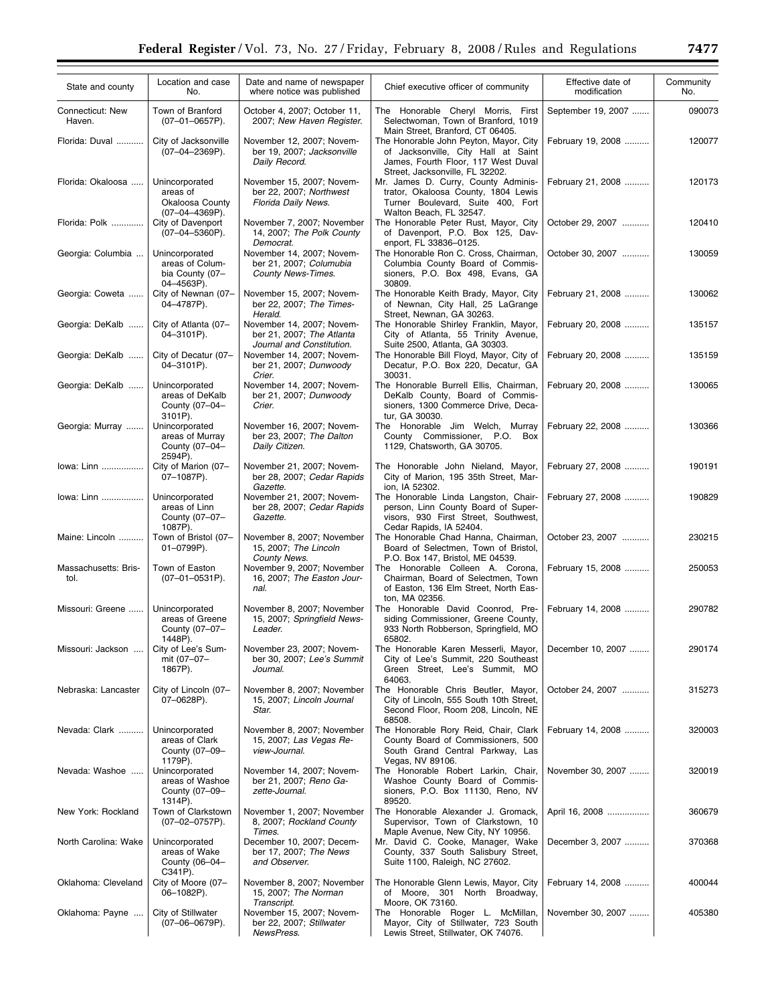| State and county             | Location and case<br>No.                                           | Date and name of newspaper<br>where notice was published                            | Chief executive officer of community                                                                                                                                                        | Effective date of<br>modification | Community<br>No. |
|------------------------------|--------------------------------------------------------------------|-------------------------------------------------------------------------------------|---------------------------------------------------------------------------------------------------------------------------------------------------------------------------------------------|-----------------------------------|------------------|
| Connecticut: New<br>Haven.   | Town of Branford<br>$(07-01-0657P)$ .                              | October 4, 2007; October 11,<br>2007; New Haven Register.                           | The Honorable Cheryl Morris, First<br>Selectwoman, Town of Branford, 1019                                                                                                                   | September 19, 2007                | 090073           |
| Florida: Duval               | City of Jacksonville<br>$(07-04-2369P)$ .                          | November 12, 2007; Novem-<br>ber 19, 2007; Jacksonville<br>Daily Record.            | Main Street, Branford, CT 06405.<br>The Honorable John Peyton, Mayor, City<br>of Jacksonville, City Hall at Saint<br>James, Fourth Floor, 117 West Duval<br>Street, Jacksonville, FL 32202. | February 19, 2008                 | 120077           |
| Florida: Okaloosa            | Unincorporated<br>areas of<br>Okaloosa County<br>$(07-04-4369P)$ . | November 15, 2007; Novem-<br>ber 22, 2007; Northwest<br>Florida Daily News.         | Mr. James D. Curry, County Adminis-<br>trator, Okaloosa County, 1804 Lewis<br>Turner Boulevard, Suite 400, Fort<br>Walton Beach, FL 32547.                                                  | February 21, 2008                 | 120173           |
| Florida: Polk                | City of Davenport<br>$(07-04-5360P)$ .                             | November 7, 2007; November<br>14, 2007; The Polk County<br>Democrat.                | The Honorable Peter Rust, Mayor, City<br>of Davenport, P.O. Box 125, Dav-<br>enport, FL 33836-0125.                                                                                         | October 29, 2007                  | 120410           |
| Georgia: Columbia            | Unincorporated<br>areas of Colum-<br>bia County (07-<br>04-4563P). | November 14, 2007; Novem-<br>ber 21, 2007; Columubia<br><b>County News-Times.</b>   | The Honorable Ron C. Cross, Chairman,<br>Columbia County Board of Commis-<br>sioners, P.O. Box 498, Evans, GA<br>30809.                                                                     | October 30, 2007                  | 130059           |
| Georgia: Coweta              | City of Newnan (07-<br>04-4787P).                                  | November 15, 2007; Novem-<br>ber 22, 2007; The Times-<br>Herald.                    | The Honorable Keith Brady, Mayor, City<br>of Newnan, City Hall, 25 LaGrange<br>Street, Newnan, GA 30263.                                                                                    | February 21, 2008                 | 130062           |
| Georgia: DeKalb              | City of Atlanta (07-<br>04-3101P).                                 | November 14, 2007; Novem-<br>ber 21, 2007; The Atlanta<br>Journal and Constitution. | The Honorable Shirley Franklin, Mayor,<br>City of Atlanta, 55 Trinity Avenue,<br>Suite 2500, Atlanta, GA 30303.                                                                             | February 20, 2008                 | 135157           |
| Georgia: DeKalb              | City of Decatur (07-<br>04-3101P).                                 | November 14, 2007; Novem-<br>ber 21, 2007; Dunwoody<br>Crier.                       | The Honorable Bill Floyd, Mayor, City of<br>Decatur, P.O. Box 220, Decatur, GA<br>30031.                                                                                                    | February 20, 2008                 | 135159           |
| Georgia: DeKalb              | Unincorporated<br>areas of DeKalb<br>County (07-04-<br>3101P).     | November 14, 2007; Novem-<br>ber 21, 2007; Dunwoody<br>Crier.                       | The Honorable Burrell Ellis, Chairman,<br>DeKalb County, Board of Commis-<br>sioners, 1300 Commerce Drive, Deca-<br>tur, GA 30030.                                                          | February 20, 2008                 | 130065           |
| Georgia: Murray              | Unincorporated<br>areas of Murray<br>County (07-04-<br>2594P).     | November 16, 2007; Novem-<br>ber 23, 2007; The Dalton<br>Daily Citizen.             | The Honorable Jim Welch, Murray<br>County Commissioner, P.O. Box<br>1129, Chatsworth, GA 30705.                                                                                             | February 22, 2008                 | 130366           |
| lowa: Linn                   | City of Marion (07-<br>07-1087P).                                  | November 21, 2007; Novem-<br>ber 28, 2007; Cedar Rapids<br>Gazette.                 | The Honorable John Nieland, Mayor,<br>City of Marion, 195 35th Street, Mar-<br>ion, IA 52302.                                                                                               | February 27, 2008                 | 190191           |
| lowa: Linn                   | Unincorporated<br>areas of Linn<br>County (07-07-<br>1087P).       | November 21, 2007; Novem-<br>ber 28, 2007; Cedar Rapids<br>Gazette.                 | The Honorable Linda Langston, Chair-<br>person, Linn County Board of Super-<br>visors, 930 First Street, Southwest,<br>Cedar Rapids, IA 52404.                                              | February 27, 2008                 | 190829           |
| Maine: Lincoln               | Town of Bristol (07-<br>$01 - 0799P$ ).                            | November 8, 2007; November<br>15, 2007; The Lincoln<br>County News.                 | The Honorable Chad Hanna, Chairman,<br>Board of Selectmen, Town of Bristol,<br>P.O. Box 147, Bristol, ME 04539.                                                                             | October 23, 2007                  | 230215           |
| Massachusetts: Bris-<br>tol. | Town of Easton<br>$(07-01-0531P)$ .                                | November 9, 2007; November<br>16, 2007; The Easton Jour-<br>nal.                    | The Honorable Colleen A. Corona,<br>Chairman, Board of Selectmen, Town<br>of Easton, 136 Elm Street, North Eas-<br>ton, MA 02356.                                                           | February 15, 2008                 | 250053           |
| Missouri: Greene             | Unincorporated<br>areas of Greene<br>County (07-07-<br>1448P).     | November 8, 2007; November<br>15, 2007; Springfield News-<br>Leader.                | The Honorable David Coonrod, Pre-<br>siding Commissioner, Greene County,<br>933 North Robberson, Springfield, MO<br>65802.                                                                  | February 14, 2008                 | 290782           |
| Missouri: Jackson            | City of Lee's Sum-<br>mit (07-07-<br>1867P).                       | November 23, 2007; Novem-<br>ber 30, 2007; Lee's Summit<br>Journal.                 | The Honorable Karen Messerli, Mayor,<br>City of Lee's Summit, 220 Southeast<br>Green Street, Lee's Summit, MO<br>64063.                                                                     | December 10, 2007                 | 290174           |
| Nebraska: Lancaster          | City of Lincoln (07-<br>07-0628P).                                 | November 8, 2007; November<br>15, 2007; Lincoln Journal<br>Star.                    | The Honorable Chris Beutler, Mayor,<br>City of Lincoln, 555 South 10th Street,<br>Second Floor, Room 208, Lincoln, NE<br>68508.                                                             | October 24, 2007                  | 315273           |
| Nevada: Clark                | Unincorporated<br>areas of Clark<br>County (07-09-<br>1179P).      | November 8, 2007; November<br>15, 2007; Las Vegas Re-<br>view-Journal.              | The Honorable Rory Reid, Chair, Clark<br>County Board of Commissioners, 500<br>South Grand Central Parkway, Las<br>Vegas, NV 89106.                                                         | February 14, 2008                 | 320003           |
| Nevada: Washoe               | Unincorporated<br>areas of Washoe<br>County (07-09-<br>1314P).     | November 14, 2007; Novem-<br>ber 21, 2007; Reno Ga-<br>zette-Journal.               | The Honorable Robert Larkin, Chair,<br>Washoe County Board of Commis-<br>sioners, P.O. Box 11130, Reno, NV<br>89520.                                                                        | November 30, 2007                 | 320019           |
| New York: Rockland           | Town of Clarkstown<br>$(07-02-0757P).$                             | November 1, 2007; November<br>8, 2007; Rockland County<br>Times.                    | The Honorable Alexander J. Gromack,<br>Supervisor, Town of Clarkstown, 10<br>Maple Avenue, New City, NY 10956.                                                                              | April 16, 2008                    | 360679           |
| North Carolina: Wake         | Unincorporated<br>areas of Wake<br>County (06-04-<br>C341P).       | December 10, 2007; Decem-<br>ber 17, 2007; The News<br>and Observer.                | Mr. David C. Cooke, Manager, Wake<br>County, 337 South Salisbury Street,<br>Suite 1100, Raleigh, NC 27602.                                                                                  | December 3, 2007                  | 370368           |
| Oklahoma: Cleveland          | City of Moore (07-<br>06-1082P).                                   | November 8, 2007; November<br>15, 2007; The Norman<br>Transcript.                   | The Honorable Glenn Lewis, Mayor, City<br>of Moore, 301 North Broadway,<br>Moore, OK 73160.                                                                                                 | February 14, 2008                 | 400044           |
| Oklahoma: Payne              | City of Stillwater<br>$(07-06-0679P).$                             | November 15, 2007; Novem-<br>ber 22, 2007; Stillwater<br>NewsPress.                 | The Honorable Roger L. McMillan,<br>Mayor, City of Stillwater, 723 South<br>Lewis Street, Stillwater, OK 74076.                                                                             | November 30, 2007                 | 405380           |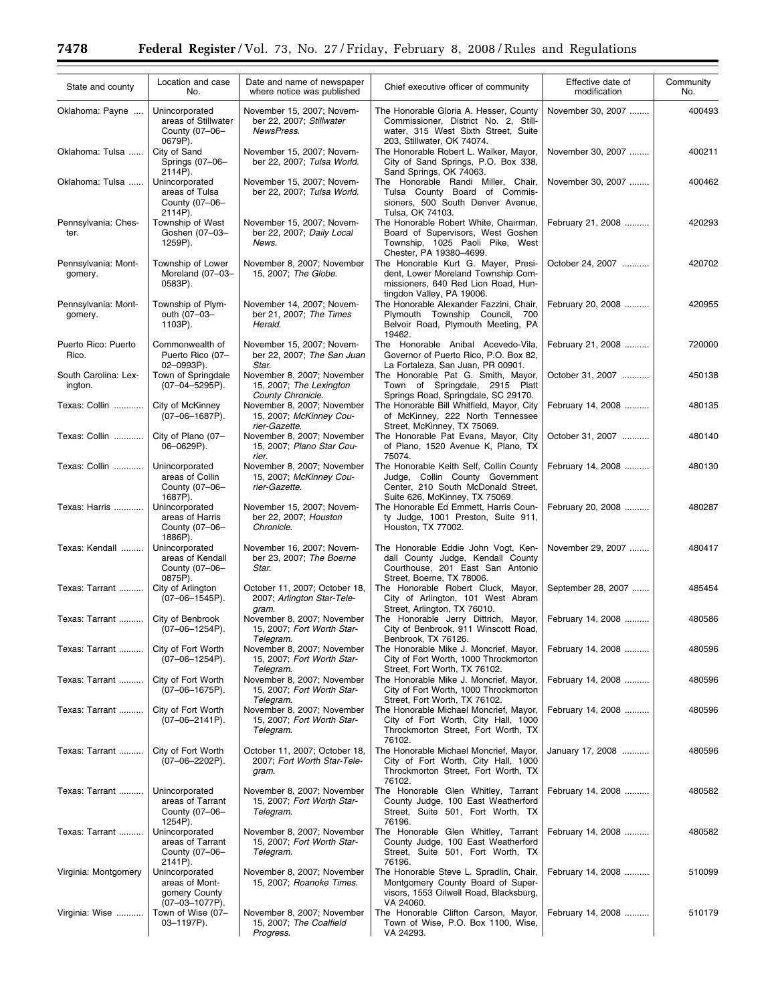Ξ

| State and county                | Location and case<br>No.                                               | Date and name of newspaper<br>where notice was published                   | Chief executive officer of community                                                                                                                | Effective date of<br>modification | Community<br>No. |
|---------------------------------|------------------------------------------------------------------------|----------------------------------------------------------------------------|-----------------------------------------------------------------------------------------------------------------------------------------------------|-----------------------------------|------------------|
| Oklahoma: Payne                 | Unincorporated<br>areas of Stillwater<br>County (07-06-<br>0679P).     | November 15, 2007; Novem-<br>ber 22, 2007; Stillwater<br>NewsPress.        | The Honorable Gloria A. Hesser, County<br>Commissioner, District No. 2, Still-<br>water, 315 West Sixth Street, Suite<br>203, Stillwater, OK 74074. | November 30, 2007                 | 400493           |
| Oklahoma: Tulsa                 | City of Sand<br>Springs (07-06-<br>2114P).                             | November 15, 2007; Novem-<br>ber 22, 2007; Tulsa World.                    | The Honorable Robert L. Walker, Mayor,<br>City of Sand Springs, P.O. Box 338,<br>Sand Springs, OK 74063.                                            | November 30, 2007                 | 400211           |
| Oklahoma: Tulsa                 | Unincorporated<br>areas of Tulsa<br>County (07-06-<br>2114P).          | November 15, 2007; Novem-<br>ber 22, 2007; Tulsa World.                    | The Honorable Randi Miller, Chair,<br>Tulsa County Board of Commis-<br>sioners, 500 South Denver Avenue,<br>Tulsa, OK 74103.                        | November 30, 2007                 | 400462           |
| Pennsylvania: Ches-<br>ter.     | Township of West<br>Goshen (07-03-<br>1259P).                          | November 15, 2007; Novem-<br>ber 22, 2007; Daily Local<br>News.            | The Honorable Robert White, Chairman,<br>Board of Supervisors, West Goshen<br>Township, 1025 Paoli Pike, West<br>Chester, PA 19380-4699.            | February 21, 2008                 | 420293           |
| Pennsylvania: Mont-<br>gomery.  | Township of Lower<br>Moreland (07-03-<br>0583P).                       | November 8, 2007; November<br>15, 2007; The Globe.                         | The Honorable Kurt G. Mayer, Presi-<br>dent, Lower Moreland Township Com-<br>missioners, 640 Red Lion Road, Hun-<br>tingdon Valley, PA 19006.       | October 24, 2007                  | 420702           |
| Pennsylvania: Mont-<br>gomery.  | Township of Plym-<br>outh (07-03-<br>1103P).                           | November 14, 2007; Novem-<br>ber 21, 2007; The Times<br>Herald.            | The Honorable Alexander Fazzini, Chair,<br>Plymouth Township Council, 700<br>Belvoir Road, Plymouth Meeting, PA<br>19462.                           | February 20, 2008                 | 420955           |
| Puerto Rico: Puerto<br>Rico.    | Commonwealth of<br>Puerto Rico (07-<br>02-0993P).                      | November 15, 2007; Novem-<br>ber 22, 2007; The San Juan<br>Star.           | The Honorable Anibal Acevedo-Vila,<br>Governor of Puerto Rico, P.O. Box 82,<br>La Fortaleza, San Juan, PR 00901.                                    | February 21, 2008                 | 720000           |
| South Carolina: Lex-<br>ington. | Town of Springdale<br>$(07-04-5295P)$ .                                | November 8, 2007; November<br>15, 2007; The Lexington<br>County Chronicle. | The Honorable Pat G. Smith, Mayor,<br>Town of Springdale, 2915 Platt<br>Springs Road, Springdale, SC 29170.                                         | October 31, 2007                  | 450138           |
| Texas: Collin                   | City of McKinney<br>$(07-06-1687P)$ .                                  | November 8, 2007; November<br>15, 2007; McKinney Cou-<br>rier-Gazette.     | The Honorable Bill Whitfield, Mayor, City<br>of McKinney, 222 North Tennessee<br>Street, McKinney, TX 75069.                                        | February 14, 2008                 | 480135           |
| Texas: Collin                   | City of Plano (07-<br>06-0629P).                                       | November 8, 2007; November<br>15, 2007; Plano Star Cou-<br>rier.           | The Honorable Pat Evans, Mayor, City<br>of Plano, 1520 Avenue K, Plano, TX<br>75074.                                                                | October 31, 2007                  | 480140           |
| Texas: Collin                   | Unincorporated<br>areas of Collin<br>County (07-06-<br>1687P).         | November 8, 2007; November<br>15, 2007; McKinney Cou-<br>rier-Gazette.     | The Honorable Keith Self, Collin County<br>Judge, Collin County Government<br>Center, 210 South McDonald Street,<br>Suite 626, McKinney, TX 75069.  | February 14, 2008                 | 480130           |
| Texas: Harris                   | Unincorporated<br>areas of Harris<br>County (07-06-<br>1886P).         | November 15, 2007; Novem-<br>ber 22, 2007; Houston<br>Chronicle.           | The Honorable Ed Emmett, Harris Coun-<br>ty Judge, 1001 Preston, Suite 911,<br>Houston, TX 77002.                                                   | February 20, 2008                 | 480287           |
| Texas: Kendall                  | Unincorporated<br>areas of Kendall<br>County (07-06-<br>0875P).        | November 16, 2007; Novem-<br>ber 23, 2007; The Boerne<br>Star.             | The Honorable Eddie John Vogt, Ken-<br>dall County Judge, Kendall County<br>Courthouse, 201 East San Antonio<br>Street, Boerne, TX 78006.           | November 29, 2007                 | 480417           |
| Texas: Tarrant                  | City of Arlington<br>$(07-06-1545P)$ .                                 | October 11, 2007; October 18,<br>2007; Arlington Star-Tele-<br>gram.       | The Honorable Robert Cluck, Mayor,<br>City of Arlington, 101 West Abram<br>Street, Arlington, TX 76010.                                             | September 28, 2007                | 485454           |
| Texas: Tarrant                  | City of Benbrook<br>$(07-06-1254P)$ .                                  | November 8, 2007; November<br>15, 2007; Fort Worth Star-<br>I elegram.     | The Honorable Jerry Dittrich, Mayor,<br>City of Benbrook, 911 Winscott Road,<br>Benbrook, TX 76126.                                                 | February 14, 2008                 | 480586           |
| Texas: Tarrant                  | City of Fort Worth<br>$(07-06-1254P)$ .                                | November 8, 2007; November<br>15, 2007; Fort Worth Star-<br>Telegram.      | The Honorable Mike J. Moncrief, Mayor,<br>City of Fort Worth, 1000 Throckmorton<br>Street, Fort Worth, TX 76102.                                    | February 14, 2008                 | 480596           |
| Texas: Tarrant                  | City of Fort Worth<br>$(07-06-1675P)$ .                                | November 8, 2007; November<br>15, 2007; Fort Worth Star-<br>Telegram.      | The Honorable Mike J. Moncrief, Mayor,<br>City of Fort Worth, 1000 Throckmorton<br>Street, Fort Worth, TX 76102.                                    | February 14, 2008                 | 480596           |
| Texas: Tarrant                  | City of Fort Worth<br>$(07-06-2141P)$ .                                | November 8, 2007; November<br>15, 2007; Fort Worth Star-<br>Telegram.      | The Honorable Michael Moncrief, Mayor,<br>City of Fort Worth, City Hall, 1000<br>Throckmorton Street, Fort Worth, TX<br>76102.                      | February 14, 2008                 | 480596           |
| Texas: Tarrant                  | City of Fort Worth<br>$(07-06-2202P)$ .                                | October 11, 2007; October 18,<br>2007; Fort Worth Star-Tele-<br>gram.      | The Honorable Michael Moncrief, Mayor,<br>City of Fort Worth, City Hall, 1000<br>Throckmorton Street, Fort Worth, TX<br>76102.                      | January 17, 2008                  | 480596           |
| Texas: Tarrant                  | Unincorporated<br>areas of Tarrant<br>County (07-06-<br>1254P).        | November 8, 2007; November<br>15, 2007; Fort Worth Star-<br>Telegram.      | The Honorable Glen Whitley, Tarrant<br>County Judge, 100 East Weatherford<br>Street, Suite 501, Fort Worth, TX<br>76196.                            | February 14, 2008                 | 480582           |
| Texas: Tarrant                  | Unincorporated<br>areas of Tarrant<br>County (07-06-<br>2141P).        | November 8, 2007; November<br>15, 2007; Fort Worth Star-<br>Telegram.      | The Honorable Glen Whitley, Tarrant<br>County Judge, 100 East Weatherford<br>Street, Suite 501, Fort Worth, TX<br>76196.                            | February 14, 2008                 | 480582           |
| Virginia: Montgomery            | Unincorporated<br>areas of Mont-<br>gomery County<br>$(07-03-1077P)$ . | November 8, 2007; November<br>15, 2007; Roanoke Times.                     | The Honorable Steve L. Spradlin, Chair,<br>Montgomery County Board of Super-<br>visors, 1553 Oilwell Road, Blacksburg,<br>VA 24060.                 | February 14, 2008                 | 510099           |
| Virginia: Wise                  | Town of Wise (07-<br>03-1197P).                                        | November 8, 2007; November<br>15, 2007; The Coalfield<br>Progress.         | The Honorable Clifton Carson, Mayor,<br>Town of Wise, P.O. Box 1100, Wise,<br>VA 24293.                                                             | February 14, 2008                 | 510179           |